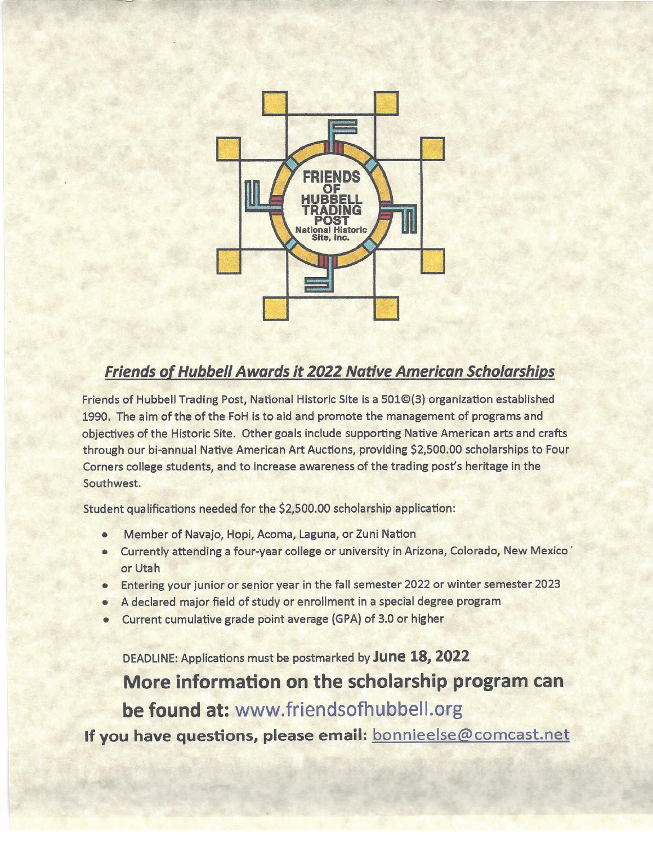

## **Friends of Hubbell Awards it 2022 Native American Scholarships**

Friends of Hubbell Trading Post, National Historic Site is a 501©(3) organization established 1990. The aim of the of the FoH is to aid and promote the management of programs and objectives of the Historic Site. Other goals include supporting Native American arts and crafts through our bi-annual Native American Art Auctions, providing \$2,500.00 scholarships to Four Corners college students, and to increase awareness of the trading post's heritage in the Southwest.

Student qualifications needed for the \$2,500.00 scholarship application:

- Member of Navajo, Hopi, Acoma, Laguna, or Zuni Nation
- Currently attending a four-year college or university in Arizona, Colorado, New Mexico' or Utah
- Entering your junior or senior year in the fall semester 2022 or winter semester 2023
- A declared major field of study or enrollment in a special degree program
- Current cumulative grade point average (GPA) of 3.0 or higher

DEADLINE: Applications must be postmarked by June 18, 2022

More information on the scholarship program can be found at: www.friendsofhubbell.org

If you have questions, please email: bonnieelse@comcast.net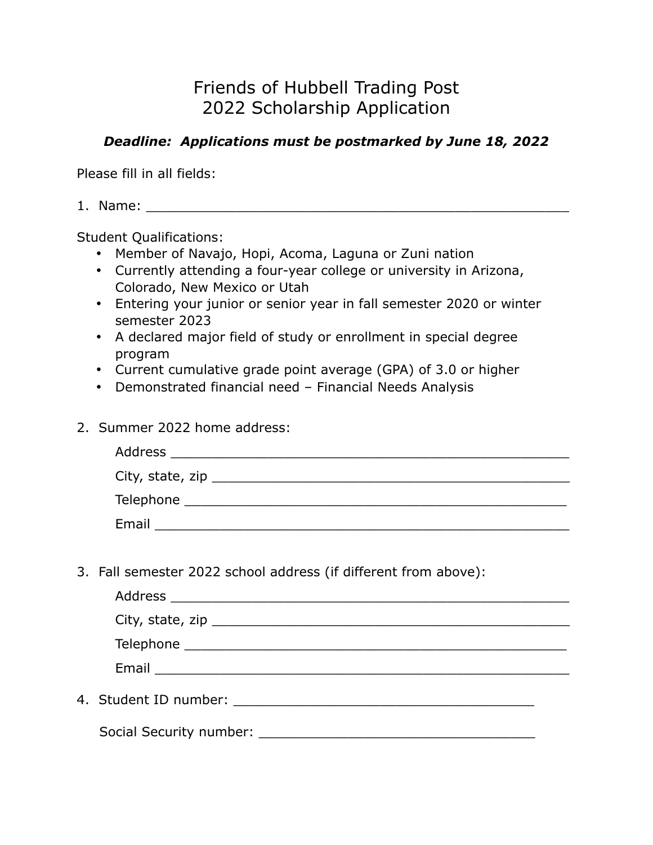# Friends of Hubbell Trading Post 2022 Scholarship Application

### *Deadline: Applications must be postmarked by June 18, 2022*

Please fill in all fields:

 $1.$  Name:  $\blacksquare$ 

Student Qualifications:

- Member of Navajo, Hopi, Acoma, Laguna or Zuni nation
- Currently attending a four-year college or university in Arizona, Colorado, New Mexico or Utah
- Entering your junior or senior year in fall semester 2020 or winter semester 2023
- A declared major field of study or enrollment in special degree program
- Current cumulative grade point average (GPA) of 3.0 or higher
- Demonstrated financial need Financial Needs Analysis
- 2. Summer 2022 home address:

| Address                                                                                                   |  |
|-----------------------------------------------------------------------------------------------------------|--|
| City, state, zip $\frac{1}{\sqrt{1-\frac{1}{2}}\sqrt{1-\frac{1}{2}}\left(\frac{1}{2}-\frac{1}{2}\right)}$ |  |
| Telephone                                                                                                 |  |
| Email                                                                                                     |  |

3. Fall semester 2022 school address (if different from above):

|                          | Email <u>_______________________</u> |
|--------------------------|--------------------------------------|
| 4. Student ID number: __ |                                      |

Social Security number: \_\_\_\_\_\_\_\_\_\_\_\_\_\_\_\_\_\_\_\_\_\_\_\_\_\_\_\_\_\_\_\_\_\_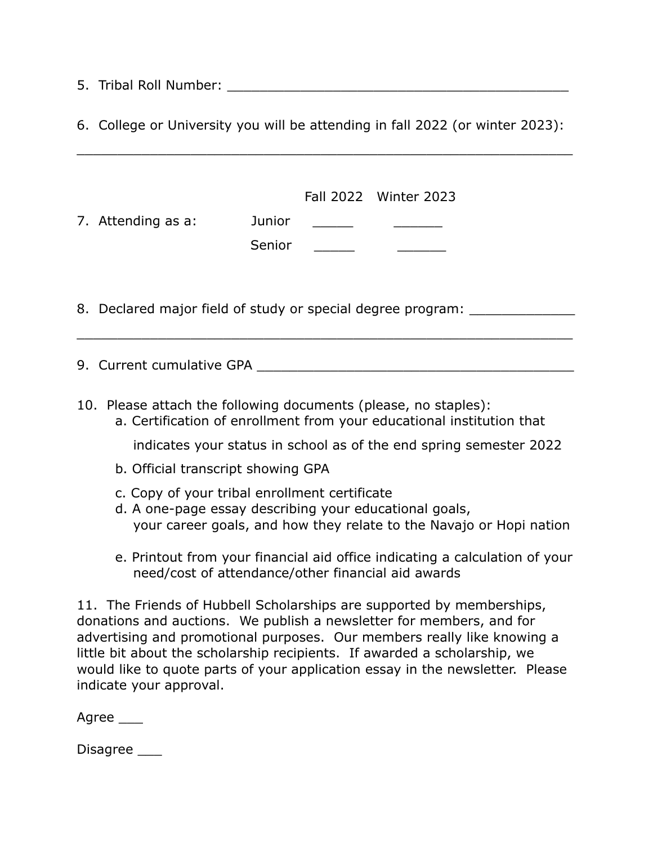5. Tribal Roll Number: \_\_\_\_\_\_\_\_\_\_\_\_\_\_\_\_\_\_\_\_\_\_\_\_\_\_\_\_\_\_\_\_\_\_\_\_\_\_\_\_\_\_

6. College or University you will be attending in fall 2022 (or winter 2023):

\_\_\_\_\_\_\_\_\_\_\_\_\_\_\_\_\_\_\_\_\_\_\_\_\_\_\_\_\_\_\_\_\_\_\_\_\_\_\_\_\_\_\_\_\_\_\_\_\_\_\_\_\_\_\_\_\_\_\_\_\_

| 7. Attending as a:                                                                                                                                                                                                                                                                                                                                                                                                | Junior<br>Senior | Fall 2022 Winter 2023 |  |  |  |  |
|-------------------------------------------------------------------------------------------------------------------------------------------------------------------------------------------------------------------------------------------------------------------------------------------------------------------------------------------------------------------------------------------------------------------|------------------|-----------------------|--|--|--|--|
| 8. Declared major field of study or special degree program:                                                                                                                                                                                                                                                                                                                                                       |                  |                       |  |  |  |  |
|                                                                                                                                                                                                                                                                                                                                                                                                                   |                  |                       |  |  |  |  |
| 10. Please attach the following documents (please, no staples):<br>a. Certification of enrollment from your educational institution that<br>indicates your status in school as of the end spring semester 2022<br>b. Official transcript showing GPA                                                                                                                                                              |                  |                       |  |  |  |  |
| c. Copy of your tribal enrollment certificate<br>d. A one-page essay describing your educational goals,<br>your career goals, and how they relate to the Navajo or Hopi nation                                                                                                                                                                                                                                    |                  |                       |  |  |  |  |
| e. Printout from your financial aid office indicating a calculation of your<br>need/cost of attendance/other financial aid awards                                                                                                                                                                                                                                                                                 |                  |                       |  |  |  |  |
| 11. The Friends of Hubbell Scholarships are supported by memberships,<br>donations and auctions. We publish a newsletter for members, and for<br>advertising and promotional purposes. Our members really like knowing a<br>little bit about the scholarship recipients. If awarded a scholarship, we<br>would like to quote parts of your application essay in the newsletter. Please<br>indicate your approval. |                  |                       |  |  |  |  |

Agree \_\_\_

Disagree \_\_\_\_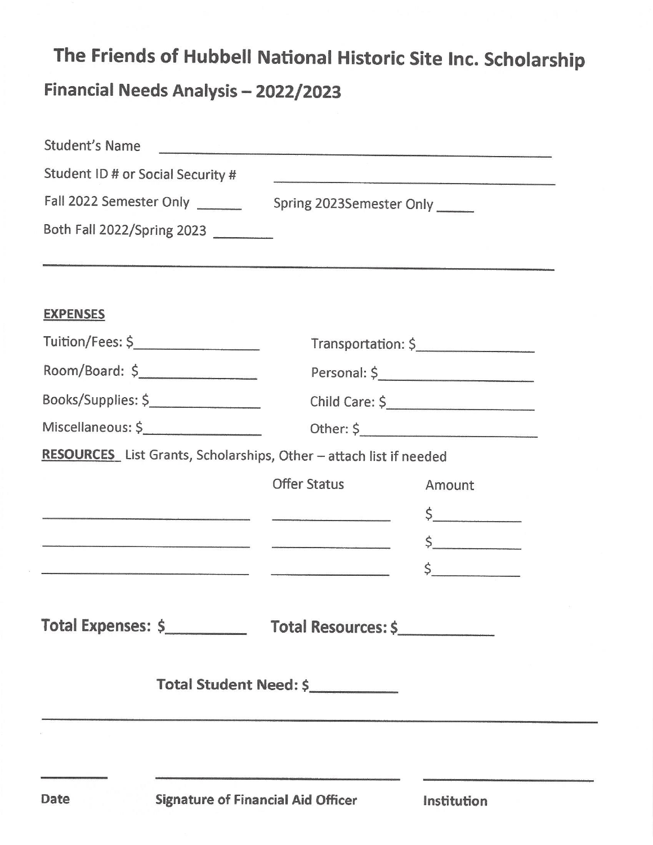# The Friends of Hubbell National Historic Site Inc. Scholarship Financial Needs Analysis - 2022/2023

| <b>Student's Name</b>                                                                                                                                                                                                                |                          |               |  |
|--------------------------------------------------------------------------------------------------------------------------------------------------------------------------------------------------------------------------------------|--------------------------|---------------|--|
| Student ID # or Social Security #                                                                                                                                                                                                    |                          |               |  |
| Fall 2022 Semester Only                                                                                                                                                                                                              | Spring 2023Semester Only |               |  |
| Both Fall 2022/Spring 2023                                                                                                                                                                                                           |                          |               |  |
|                                                                                                                                                                                                                                      |                          |               |  |
| <b>EXPENSES</b>                                                                                                                                                                                                                      |                          |               |  |
| Tuition/Fees: \$____________________                                                                                                                                                                                                 | Transportation: \$       |               |  |
| Room/Board: \$                                                                                                                                                                                                                       |                          | Personal: \$  |  |
| Books/Supplies: \$                                                                                                                                                                                                                   |                          |               |  |
| Miscellaneous: \$                                                                                                                                                                                                                    |                          |               |  |
| RESOURCES List Grants, Scholarships, Other - attach list if needed                                                                                                                                                                   |                          |               |  |
|                                                                                                                                                                                                                                      | <b>Offer Status</b>      | Amount        |  |
|                                                                                                                                                                                                                                      |                          | $\frac{1}{2}$ |  |
| <u>and the component of the component of the component of the component of the component of the component of the component of the component of the component of the component of the component of the component of the component</u> |                          | $\frac{1}{2}$ |  |
| a kama kalendar yang disebutkan kama dan perangan dan berasala dalam kama dan berasa dalam dan berasa dan bera                                                                                                                       |                          | $\sharp$      |  |
|                                                                                                                                                                                                                                      |                          |               |  |
|                                                                                                                                                                                                                                      |                          |               |  |
|                                                                                                                                                                                                                                      | Total Student Need: \$   |               |  |
|                                                                                                                                                                                                                                      |                          |               |  |